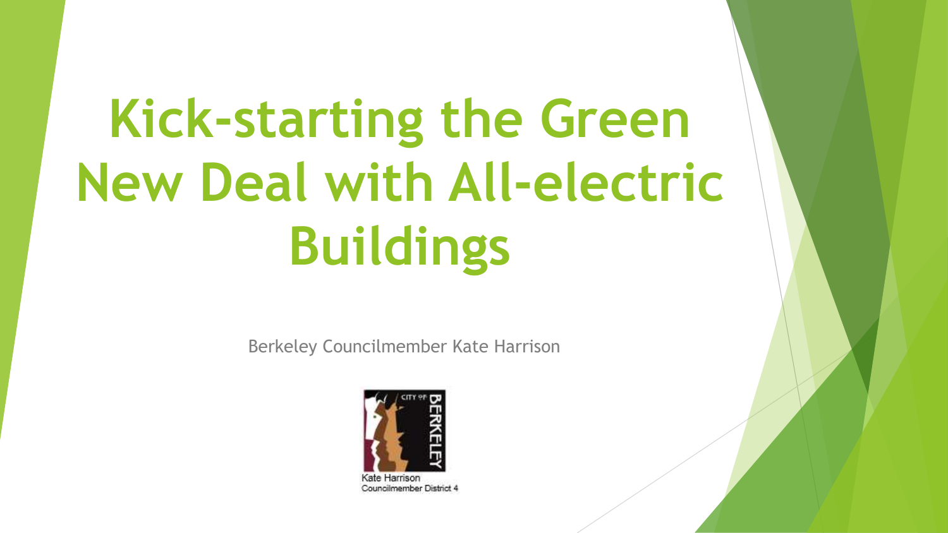# **Kick-starting the Green New Deal with All-electric Buildings**

Berkeley Councilmember Kate Harrison



tarrison Councilmember District 4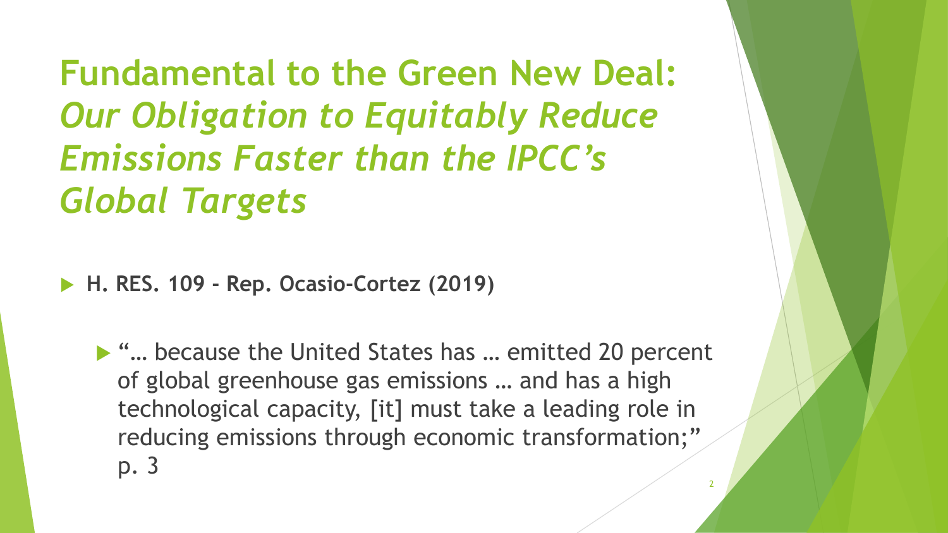**Fundamental to the Green New Deal:**  *Our Obligation to Equitably Reduce Emissions Faster than the IPCC's Global Targets*

**H. RES. 109 - Rep. Ocasio-Cortez (2019)**

▶ "... because the United States has ... emitted 20 percent of global greenhouse gas emissions … and has a high technological capacity, [it] must take a leading role in reducing emissions through economic transformation;" p. 3 2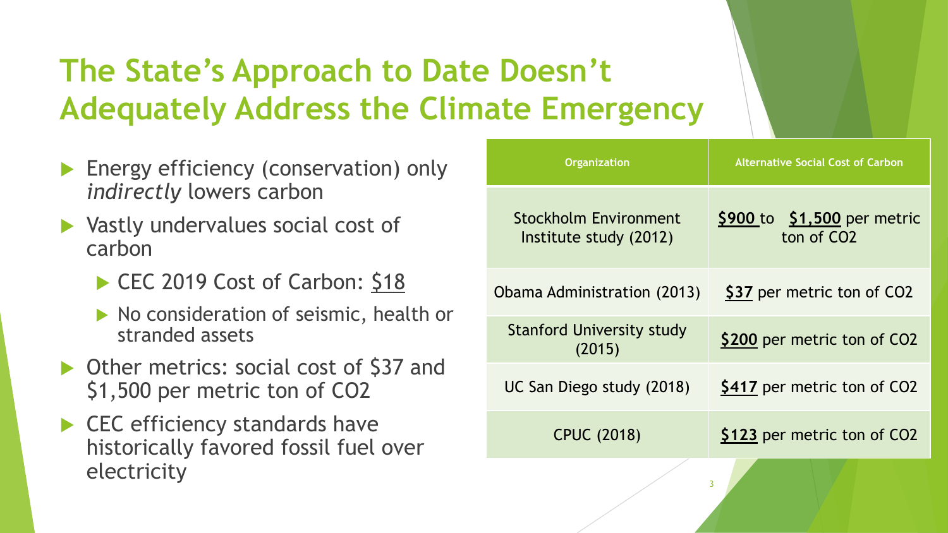#### **The State's Approach to Date Doesn't Adequately Address the Climate Emergency**

- Energy efficiency (conservation) only *indirectly* lowers carbon
- ▶ Vastly undervalues social cost of carbon
	- CEC 2019 Cost of Carbon: \$18
	- No consideration of seismic, health or stranded assets
- ▶ Other metrics: social cost of \$37 and \$1,500 per metric ton of CO2
- ▶ CEC efficiency standards have historically favored fossil fuel over electricity

| <b>Organization</b>                                    | <b>Alternative Social Cost of Carbon</b>                |
|--------------------------------------------------------|---------------------------------------------------------|
| <b>Stockholm Environment</b><br>Institute study (2012) | $$900$ to $$1,500$ per metric<br>ton of CO <sub>2</sub> |
| Obama Administration (2013)                            | \$37 per metric ton of CO2                              |
| <b>Stanford University study</b><br>(2015)             | \$200 per metric ton of CO2                             |
| UC San Diego study (2018)                              | \$417 per metric ton of CO2                             |
| <b>CPUC (2018)</b>                                     | \$123 per metric ton of CO2                             |
| ٦                                                      |                                                         |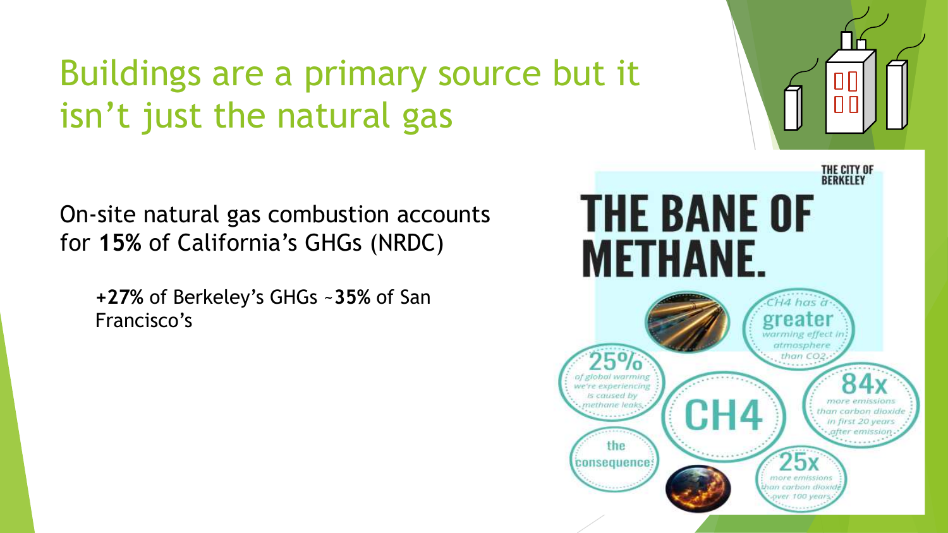## Buildings are a primary source but it isn't just the natural gas

On-site natural gas combustion accounts for **15%** of California's GHGs (NRDC)

**+27%** of Berkeley's GHGs ~**35%** of San Francisco's

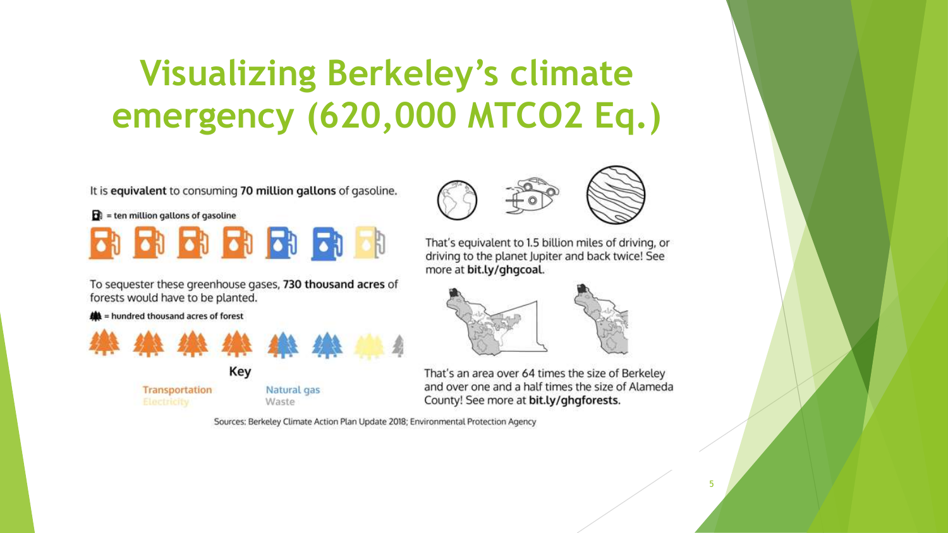# **Visualizing Berkeley's climate emergency (620,000 MTCO2 Eq.)**

It is equivalent to consuming 70 million gallons of gasoline.



To sequester these greenhouse gases, 730 thousand acres of forests would have to be planted.

**A** = hundred thousand acres of forest



Transportation





That's equivalent to 1.5 billion miles of driving, or driving to the planet Jupiter and back twice! See more at bit.ly/ghgcoal.



That's an area over 64 times the size of Berkeley and over one and a half times the size of Alameda County! See more at bit.ly/ghgforests.

Sources: Berkeley Climate Action Plan Update 2018; Environmental Protection Agency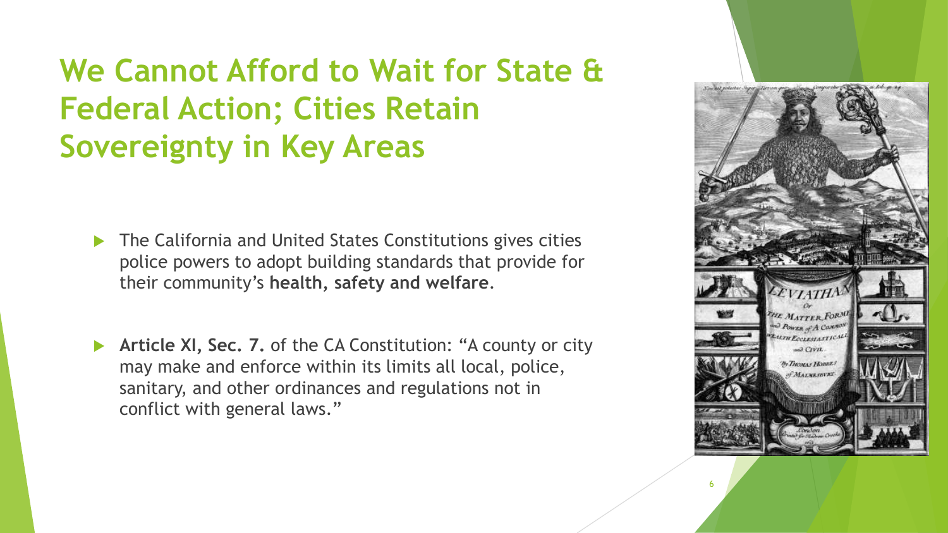#### **We Cannot Afford to Wait for State & Federal Action; Cities Retain Sovereignty in Key Areas**

- ▶ The California and United States Constitutions gives cities police powers to adopt building standards that provide for their community's **health, safety and welfare**.
- **Article XI, Sec. 7.** of the CA Constitution: "A county or city may make and enforce within its limits all local, police, sanitary, and other ordinances and regulations not in conflict with general laws."

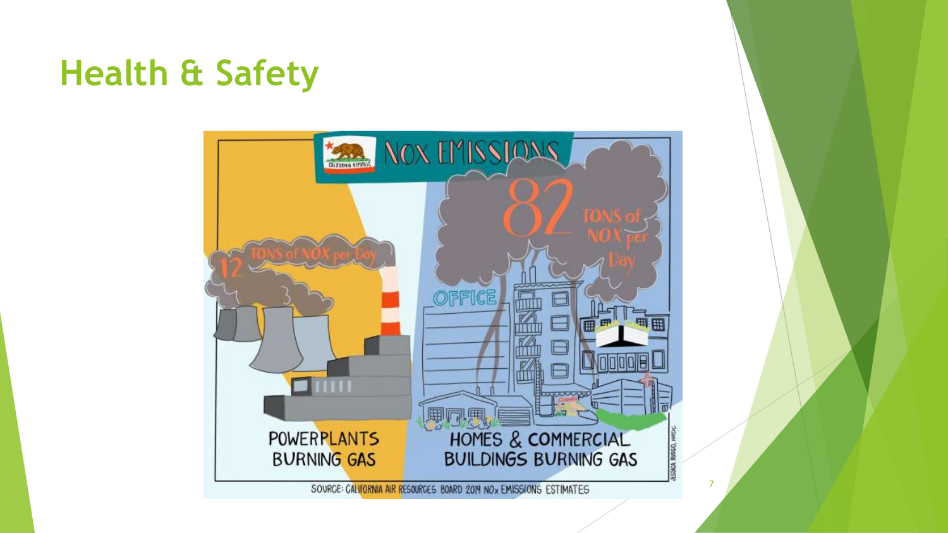#### **Health & Safety**

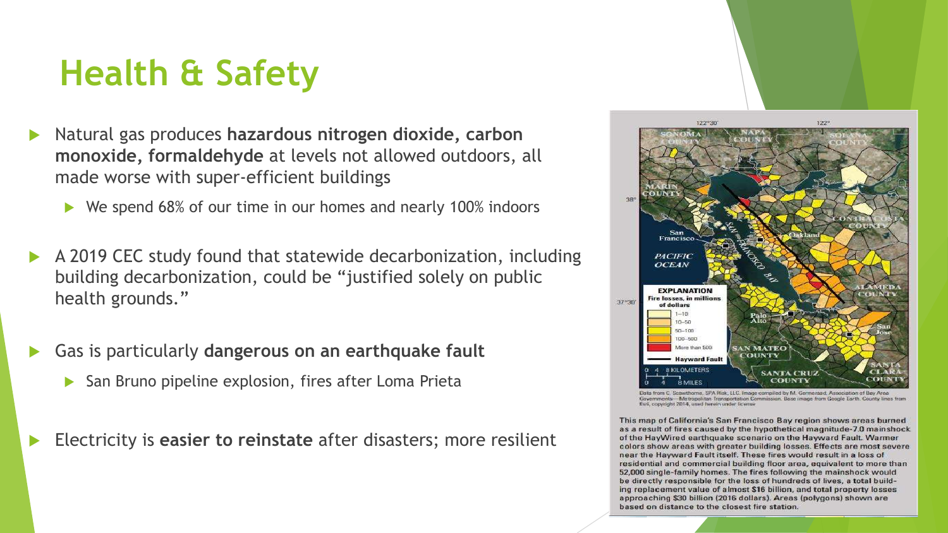#### **Health & Safety**

- Natural gas produces **hazardous nitrogen dioxide, carbon monoxide, formaldehyde** at levels not allowed outdoors, all made worse with super-efficient buildings
	- ▶ We spend 68% of our time in our homes and nearly 100% indoors
- A 2019 CEC study found that statewide decarbonization, including building decarbonization, could be "justified solely on public health grounds."
- Gas is particularly **dangerous on an earthquake fault**
	- San Bruno pipeline explosion, fires after Loma Prieta

Electricity is **easier to reinstate** after disasters; more resilient



ome, SPA Risk, LLC. Image compiled by M. Germeraad, Association of Bay Area -Metropolitan Transportation Commission, Base image from Google Earth, County lines from Esn, copyright 2014, used herein under license

This map of California's San Francisco Bay region shows areas burned as a result of fires caused by the hypothetical magnitude-7.0 mainshock of the HayWired earthquake scenario on the Hayward Fault. Warmer colors show areas with greater building losses. Effects are most severe near the Hayward Fault itself. These fires would result in a loss of residential and commercial building floor area, equivalent to more than 52,000 single-family homes. The fires following the mainshock would be directly responsible for the loss of hundreds of lives, a total build-<br>ing replacement value of almost \$16 billion, and total property losses approaching \$30 billion (2016 dollars). Areas (polygons) shown are based on distance to the closest fire station.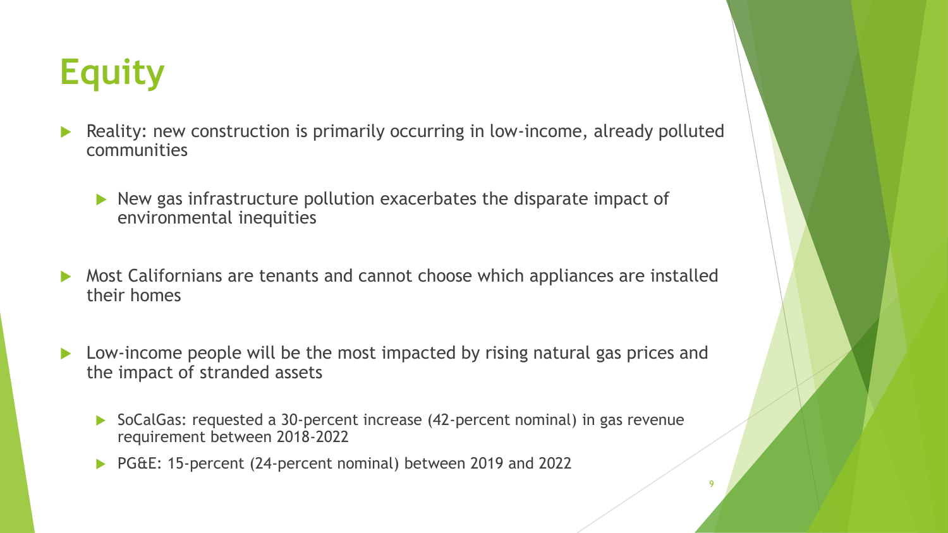## **Equity**

- Reality: new construction is primarily occurring in low-income, already polluted communities
	- $\triangleright$  New gas infrastructure pollution exacerbates the disparate impact of environmental inequities
- Most Californians are tenants and cannot choose which appliances are installed their homes
- ▶ Low-income people will be the most impacted by rising natural gas prices and the impact of stranded assets
	- ▶ SoCalGas: requested a 30-percent increase (42-percent nominal) in gas revenue requirement between 2018-2022

9

▶ PG&E: 15-percent (24-percent nominal) between 2019 and 2022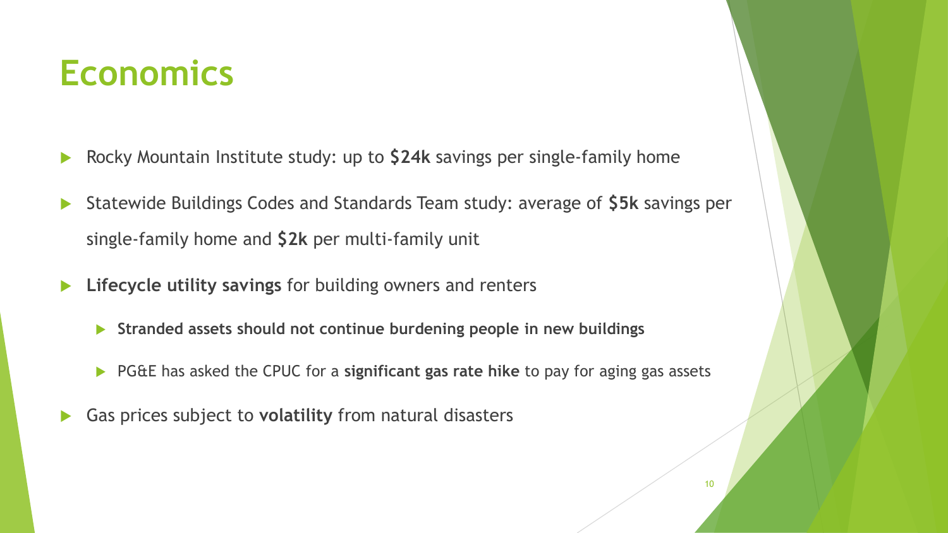#### **Economics**

- Rocky Mountain Institute study: up to **\$24k** savings per single-family home
- Statewide Buildings Codes and Standards Team study: average of **\$5k** savings per single-family home and **\$2k** per multi-family unit
- **Lifecycle utility savings** for building owners and renters
	- **Stranded assets should not continue burdening people in new buildings**
	- PG&E has asked the CPUC for a **significant gas rate hike** to pay for aging gas assets
- Gas prices subject to **volatility** from natural disasters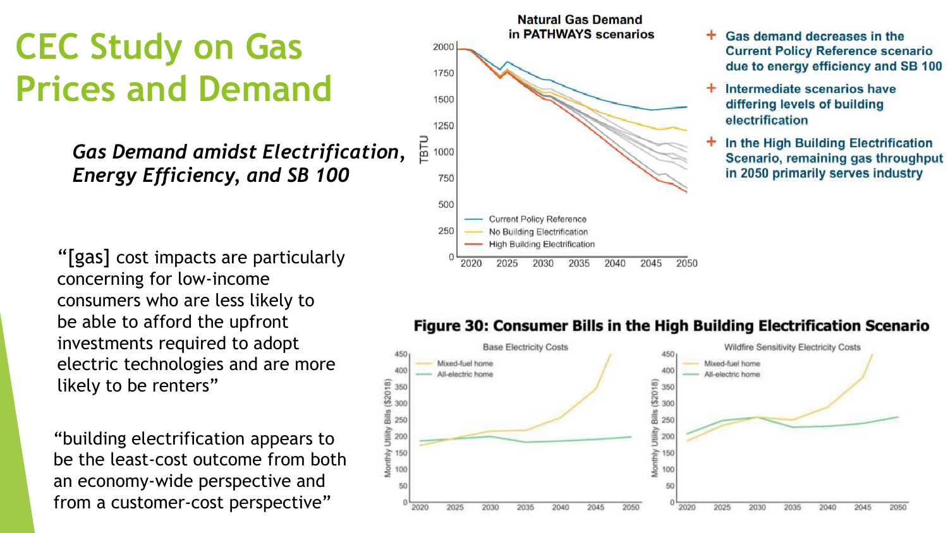### **CEC Study on Gas Prices and Demand**

*Gas Demand amidst Electrification, Energy Efficiency, and SB 100*

"[gas] cost impacts are particularly concerning for low -income consumers who are less likely to be able to afford the upfront investments required to adopt electric technologies and are more likely to be renters"

"building electrification appears to be the least -cost outcome from both an economy -wide perspective and from a customer -cost perspective"



- Gas demand decreases in the **Current Policy Reference scenario** due to energy efficiency and SB 100
- Intermediate scenarios have differing levels of building electrification
- In the High Building Electrification Scenario, remaining gas throughput in 2050 primarily serves industry

#### Figure 30: Consumer Bills in the High Building Electrification Scenario

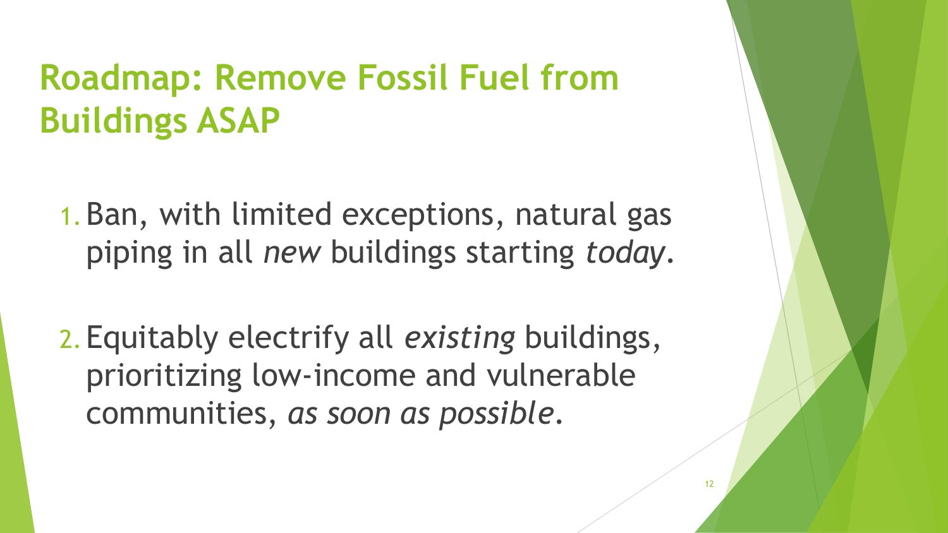#### **Roadmap: Remove Fossil Fuel from Buildings ASAP**

1.Ban, with limited exceptions, natural gas piping in all *new* buildings starting *today*.

2.Equitably electrify all *existing* buildings, prioritizing low-income and vulnerable communities, *as soon as possible*.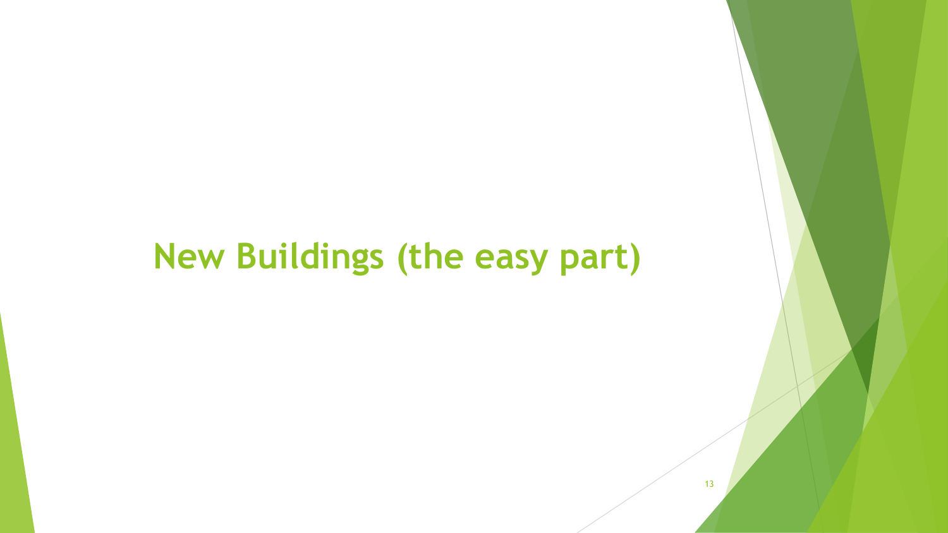#### **New Buildings (the easy part)**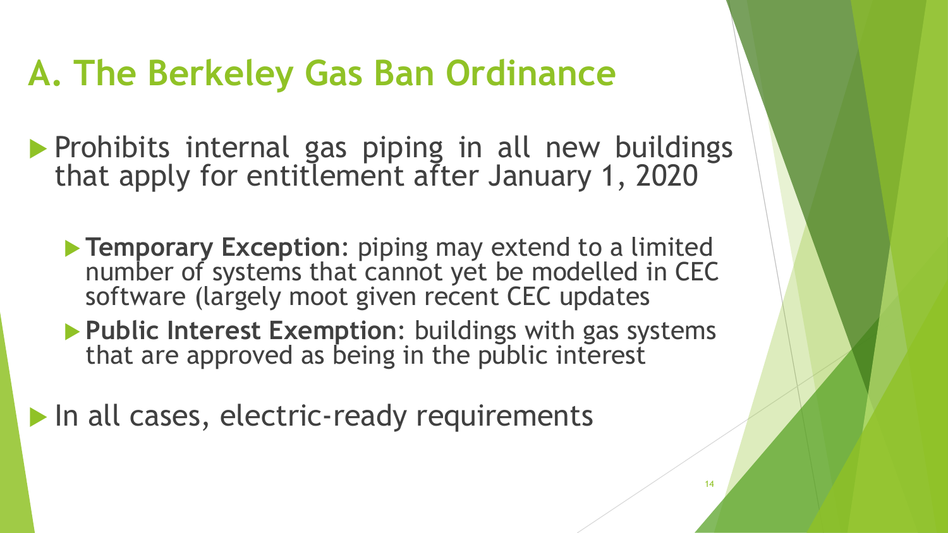#### **A. The Berkeley Gas Ban Ordinance**

- **Prohibits internal gas piping in all new buildings** that apply for entitlement after January 1, 2020
	- **Temporary Exception**: piping may extend to a limited number of systems that cannot yet be modelled in CEC software (largely moot given recent CEC updates
	- **Public Interest Exemption**: buildings with gas systems that are approved as being in the public interest
- In all cases, electric-ready requirements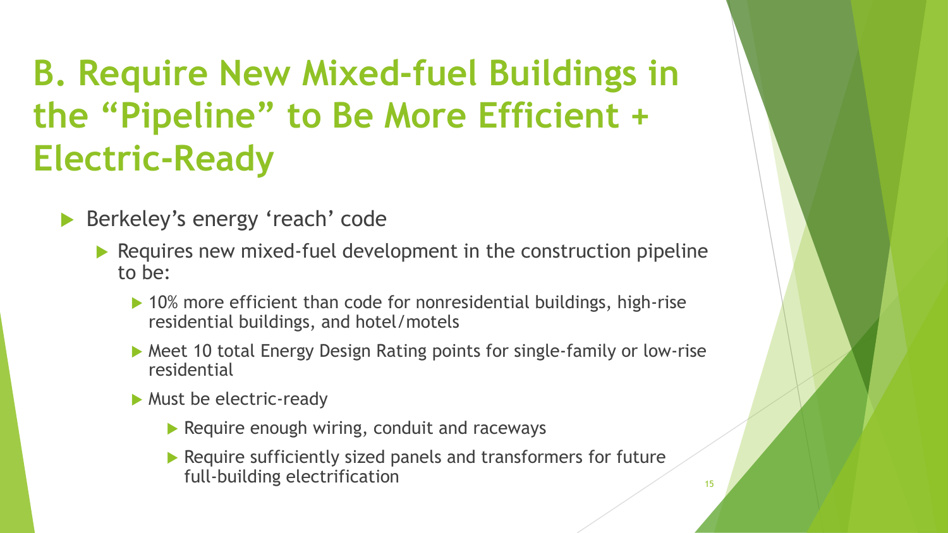## **B. Require New Mixed-fuel Buildings in the "Pipeline" to Be More Efficient + Electric-Ready**

Berkeley's energy 'reach' code

- Requires new mixed-fuel development in the construction pipeline to be:
	- ▶ 10% more efficient than code for nonresidential buildings, high-rise residential buildings, and hotel/motels
	- Meet 10 total Energy Design Rating points for single-family or low-rise residential
	- **Must be electric-ready** 
		- $\triangleright$  Require enough wiring, conduit and raceways
		- Require sufficiently sized panels and transformers for future full-building electrification 15 and 15 and 15 and 15 and 15 and 15 and 15 and 15 and 15 and 15 and 15 and 15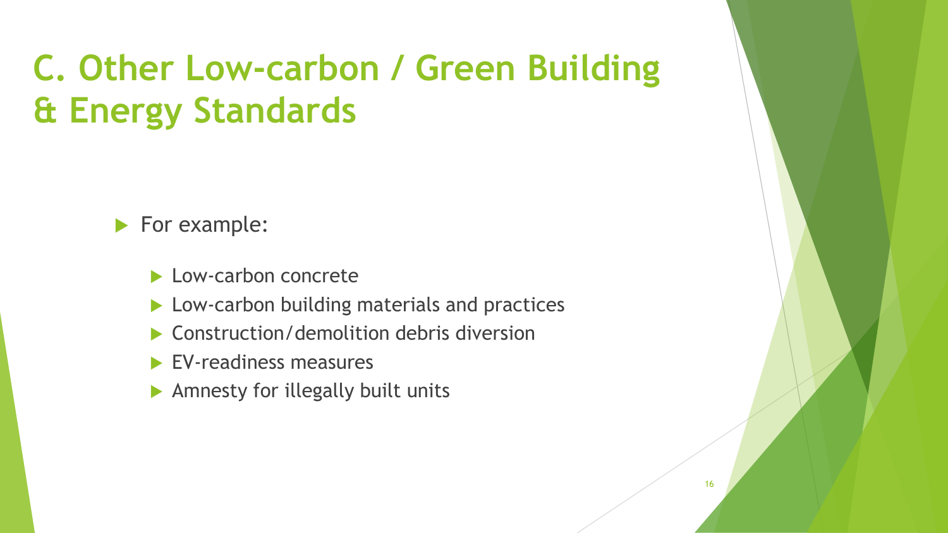## **C. Other Low-carbon / Green Building & Energy Standards**

For example:

- **Low-carbon concrete**
- ▶ Low-carbon building materials and practices
- Construction/demolition debris diversion
- **EV-readiness measures**
- ▶ Amnesty for illegally built units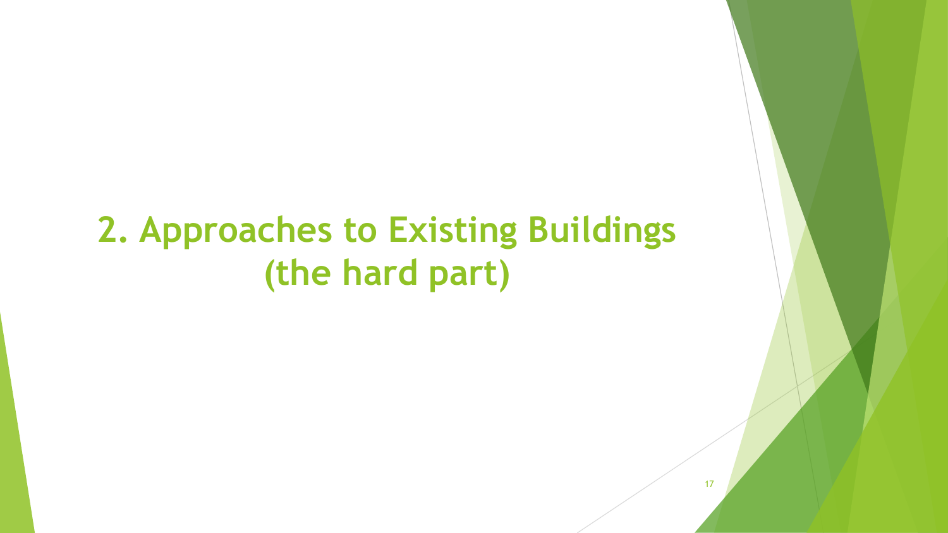#### **2. Approaches to Existing Buildings (the hard part)**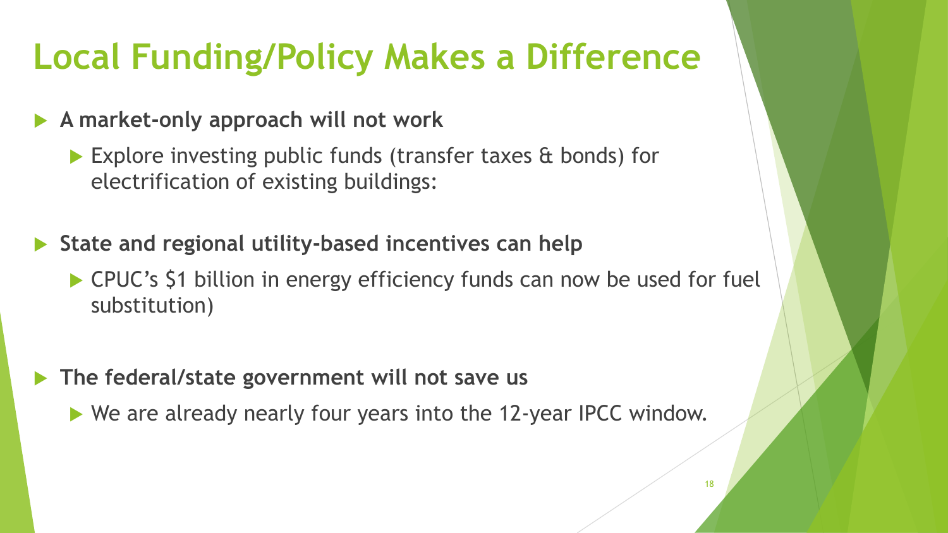#### **Local Funding/Policy Makes a Difference**

#### **A market-only approach will not work**

- ▶ Explore investing public funds (transfer taxes & bonds) for electrification of existing buildings:
- **State and regional utility-based incentives can help** 
	- ▶ CPUC's \$1 billion in energy efficiency funds can now be used for fuel substitution)
- **The federal/state government will not save us**
	- ▶ We are already nearly four years into the 12-year IPCC window.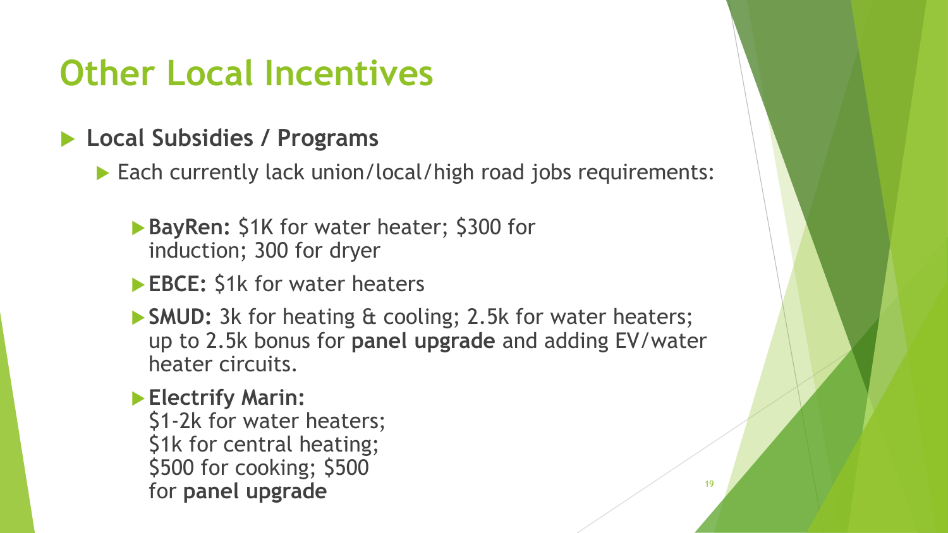#### **Other Local Incentives**

#### **Local Subsidies / Programs**

▶ Each currently lack union/local/high road jobs requirements:

- **BayRen:** \$1K for water heater; \$300 for induction; 300 for dryer
- **EBCE:** \$1k for water heaters
- **SMUD:** 3k for heating & cooling; 2.5k for water heaters; up to 2.5k bonus for **panel upgrade** and adding EV/water heater circuits.

#### **Electrify Marin:**  \$1-2k for water heaters; \$1k for central heating; \$500 for cooking; \$500 for **panel upgrade** 19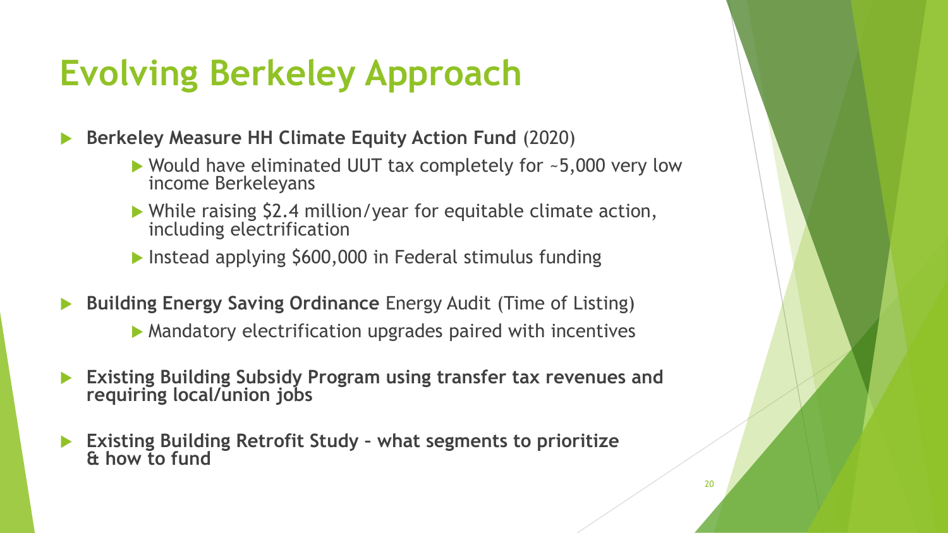#### **Evolving Berkeley Approach**

**Berkeley Measure HH Climate Equity Action Fund** (2020)

- ▶ Would have eliminated UUT tax completely for ~5,000 very low income Berkeleyans
- While raising \$2.4 million/year for equitable climate action, including electrification
- **Instead applying \$600,000 in Federal stimulus funding**
- **Building Energy Saving Ordinance** Energy Audit (Time of Listing)
	- Mandatory electrification upgrades paired with incentives
- **Existing Building Subsidy Program using transfer tax revenues and requiring local/union jobs**
- **Existing Building Retrofit Study – what segments to prioritize & how to fund**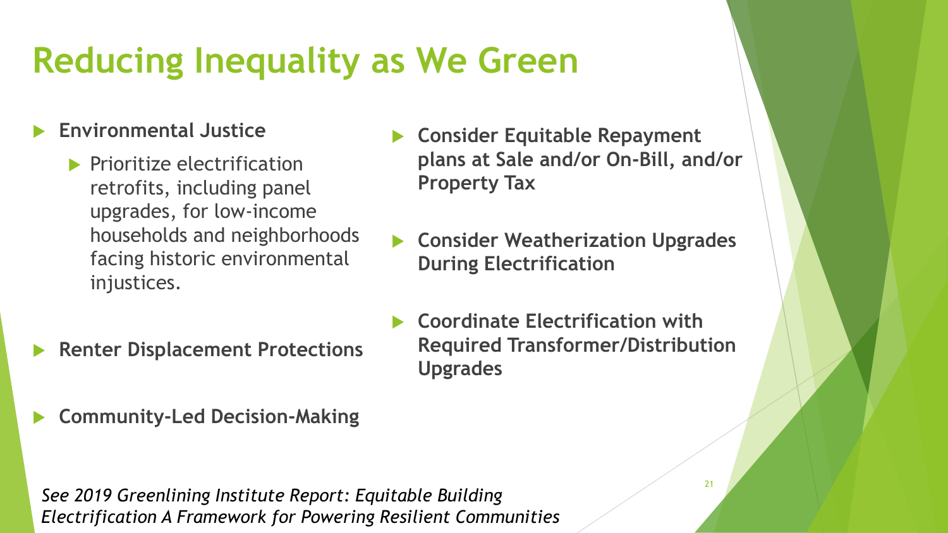## **Reducing Inequality as We Green**

#### **Environmental Justice**

- $\blacktriangleright$  Prioritize electrification retrofits, including panel upgrades, for low-income households and neighborhoods facing historic environmental injustices.
- **Renter Displacement Protections**
- **Community-Led Decision-Making**

*See 2019 Greenlining Institute Report: Equitable Building Electrification A Framework for Powering Resilient Communities*

- **Consider Equitable Repayment plans at Sale and/or On-Bill, and/or Property Tax**
- **Consider Weatherization Upgrades During Electrification**
- **Coordinate Electrification with Required Transformer/Distribution Upgrades**

21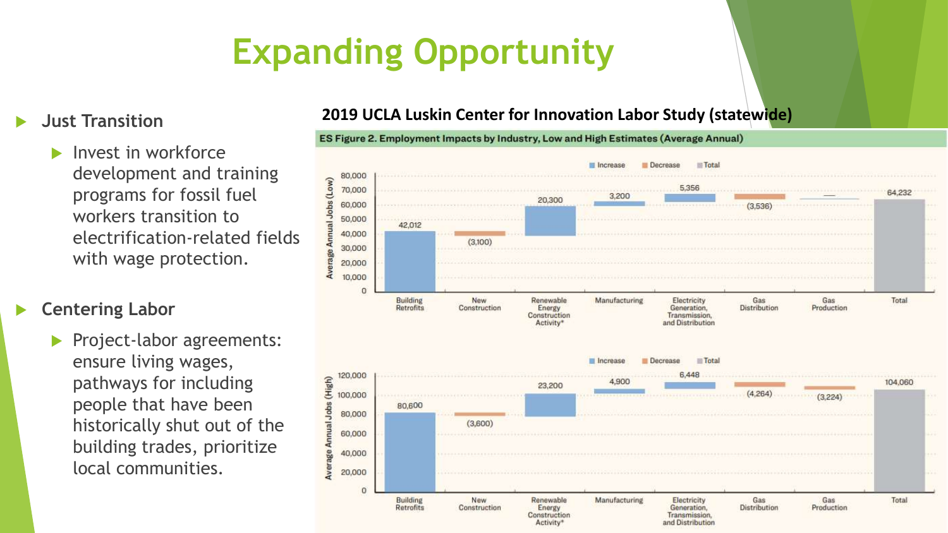# **Expanding Opportunity**

#### **Just Transition**

 Invest in workforce development and training programs for fossil fuel workers transition to electrification-related fields with wage protection.

**Centering Labor**

 Project-labor agreements: ensure living wages, pathways for including people that have been historically shut out of the building trades, prioritize local communities.

#### **2019 UCLA Luskin Center for Innovation Labor Study (statewide)**

ES Figure 2. Employment Impacts by Industry, Low and High Estimates (Average Annual)

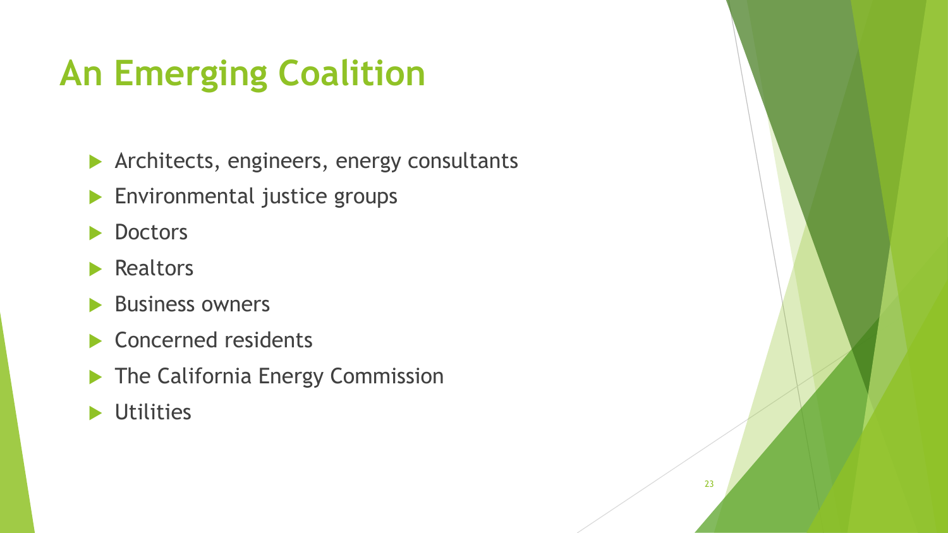## **An Emerging Coalition**

**Architects, engineers, energy consultants** 

- **Environmental justice groups**
- **Doctors**
- **Realtors**
- Business owners
- Concerned residents
- The California Energy Commission
- **D** Utilities